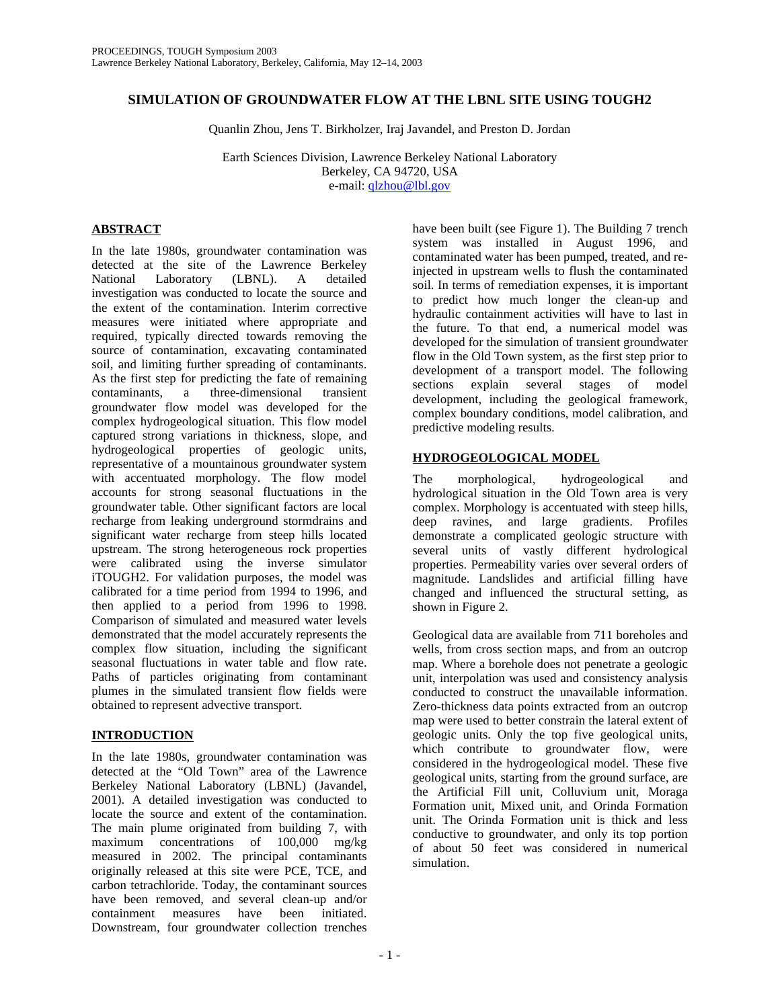# **SIMULATION OF GROUNDWATER FLOW AT THE LBNL SITE USING TOUGH2**

Quanlin Zhou, Jens T. Birkholzer, Iraj Javandel, and Preston D. Jordan

Earth Sciences Division, Lawrence Berkeley National Laboratory Berkeley, CA 94720, USA e-mail: qlzhou@lbl.gov

# **ABSTRACT**

In the late 1980s, groundwater contamination was detected at the site of the Lawrence Berkeley<br>National Laboratory (LBNL). A detailed Laboratory (LBNL). A detailed investigation was conducted to locate the source and the extent of the contamination. Interim corrective measures were initiated where appropriate and required, typically directed towards removing the source of contamination, excavating contaminated soil, and limiting further spreading of contaminants. As the first step for predicting the fate of remaining contaminants, a three-dimensional transient groundwater flow model was developed for the complex hydrogeological situation. This flow model captured strong variations in thickness, slope, and hydrogeological properties of geologic units, representative of a mountainous groundwater system with accentuated morphology. The flow model accounts for strong seasonal fluctuations in the groundwater table. Other significant factors are local recharge from leaking underground stormdrains and significant water recharge from steep hills located upstream. The strong heterogeneous rock properties were calibrated using the inverse simulator iTOUGH2. For validation purposes, the model was calibrated for a time period from 1994 to 1996, and then applied to a period from 1996 to 1998. Comparison of simulated and measured water levels demonstrated that the model accurately represents the complex flow situation, including the significant seasonal fluctuations in water table and flow rate. Paths of particles originating from contaminant plumes in the simulated transient flow fields were obtained to represent advective transport.

# **INTRODUCTION**

In the late 1980s, groundwater contamination was detected at the "Old Town" area of the Lawrence Berkeley National Laboratory (LBNL) (Javandel, 2001). A detailed investigation was conducted to locate the source and extent of the contamination. The main plume originated from building 7, with maximum concentrations of 100,000 mg/kg measured in 2002. The principal contaminants originally released at this site were PCE, TCE, and carbon tetrachloride. Today, the contaminant sources have been removed, and several clean-up and/or containment measures have been initiated. Downstream, four groundwater collection trenches

have been built (see Figure 1). The Building 7 trench system was installed in August 1996, and contaminated water has been pumped, treated, and reinjected in upstream wells to flush the contaminated soil. In terms of remediation expenses, it is important to predict how much longer the clean-up and hydraulic containment activities will have to last in the future. To that end, a numerical model was developed for the simulation of transient groundwater flow in the Old Town system, as the first step prior to development of a transport model. The following sections explain several stages of model development, including the geological framework, complex boundary conditions, model calibration, and predictive modeling results.

# **HYDROGEOLOGICAL MODEL**

The morphological, hydrogeological and hydrological situation in the Old Town area is very complex. Morphology is accentuated with steep hills, deep ravines, and large gradients. Profiles demonstrate a complicated geologic structure with several units of vastly different hydrological properties. Permeability varies over several orders of magnitude. Landslides and artificial filling have changed and influenced the structural setting, as shown in Figure 2.

Geological data are available from 711 boreholes and wells, from cross section maps, and from an outcrop map. Where a borehole does not penetrate a geologic unit, interpolation was used and consistency analysis conducted to construct the unavailable information. Zero-thickness data points extracted from an outcrop map were used to better constrain the lateral extent of geologic units. Only the top five geological units, which contribute to groundwater flow, were considered in the hydrogeological model. These five geological units, starting from the ground surface, are the Artificial Fill unit, Colluvium unit, Moraga Formation unit, Mixed unit, and Orinda Formation unit. The Orinda Formation unit is thick and less conductive to groundwater, and only its top portion of about 50 feet was considered in numerical simulation.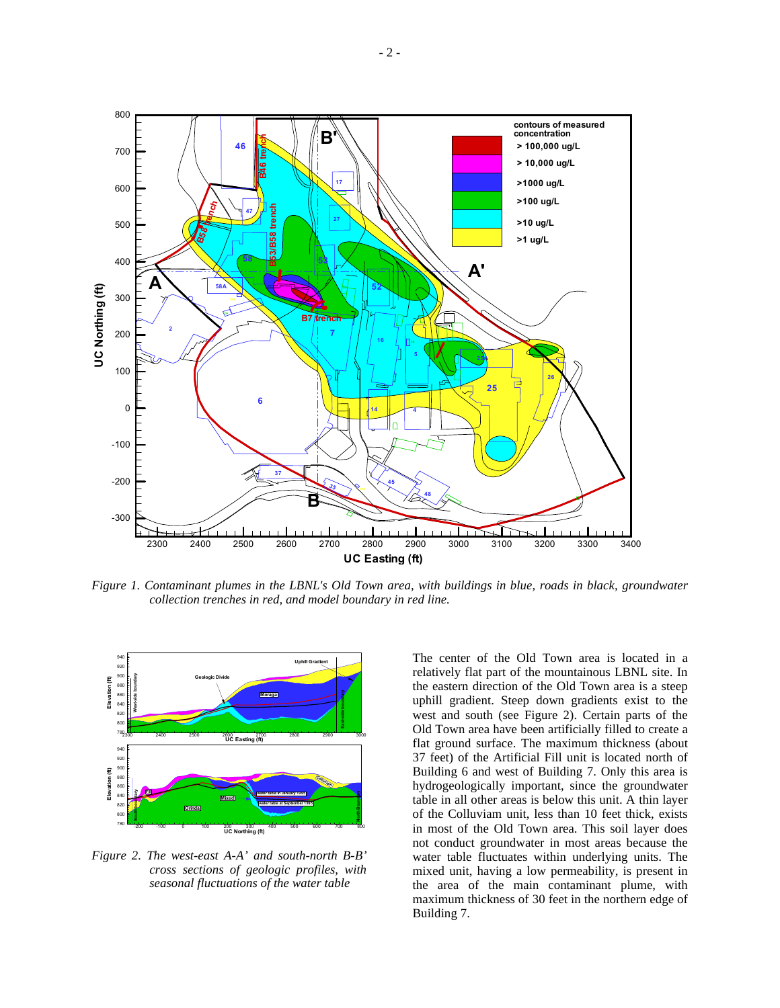

*Figure 1. Contaminant plumes in the LBNL's Old Town area, with buildings in blue, roads in black, groundwater collection trenches in red, and model boundary in red line.* 



*Figure 2. The west-east A-A' and south-north B-B' cross sections of geologic profiles, with seasonal fluctuations of the water table* 

The center of the Old Town area is located in a relatively flat part of the mountainous LBNL site. In the eastern direction of the Old Town area is a steep uphill gradient. Steep down gradients exist to the west and south (see Figure 2). Certain parts of the Old Town area have been artificially filled to create a flat ground surface. The maximum thickness (about 37 feet) of the Artificial Fill unit is located north of Building 6 and west of Building 7. Only this area is hydrogeologically important, since the groundwater table in all other areas is below this unit. A thin layer of the Colluviam unit, less than 10 feet thick, exists in most of the Old Town area. This soil layer does not conduct groundwater in most areas because the water table fluctuates within underlying units. The mixed unit, having a low permeability, is present in the area of the main contaminant plume, with maximum thickness of 30 feet in the northern edge of Building 7.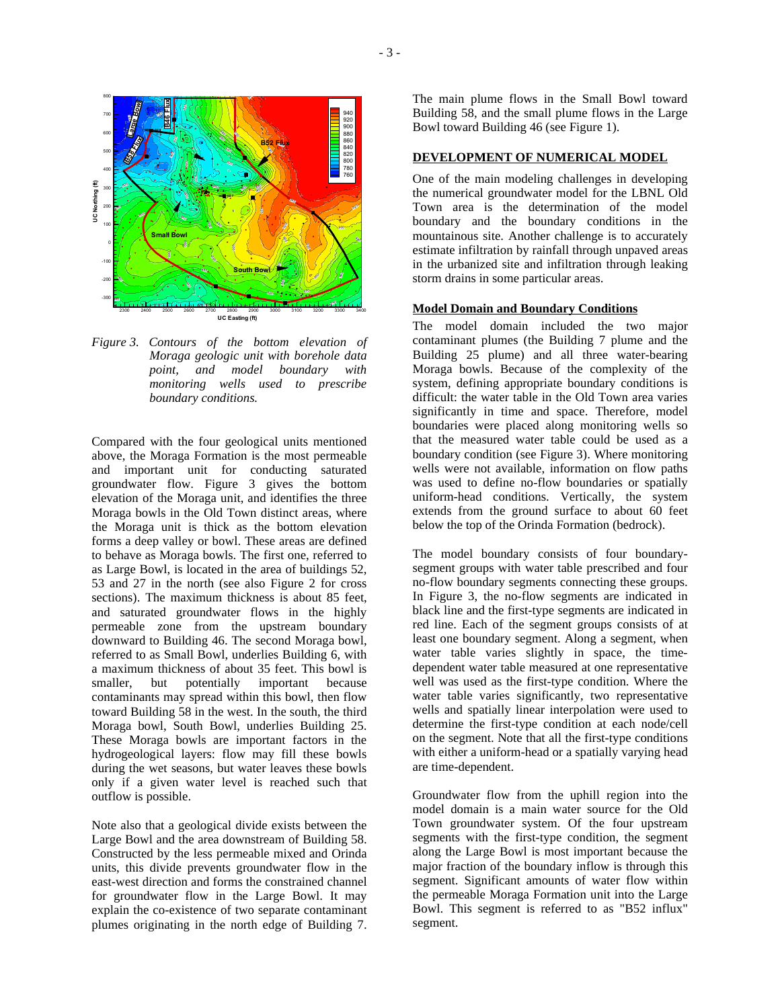

*Figure 3. Contours of the bottom elevation of Moraga geologic unit with borehole data point, and model boundary with monitoring wells used to prescribe boundary conditions.* 

Compared with the four geological units mentioned above, the Moraga Formation is the most permeable and important unit for conducting saturated groundwater flow. Figure 3 gives the bottom elevation of the Moraga unit, and identifies the three Moraga bowls in the Old Town distinct areas, where the Moraga unit is thick as the bottom elevation forms a deep valley or bowl. These areas are defined to behave as Moraga bowls. The first one, referred to as Large Bowl, is located in the area of buildings 52, 53 and 27 in the north (see also Figure 2 for cross sections). The maximum thickness is about 85 feet, and saturated groundwater flows in the highly permeable zone from the upstream boundary downward to Building 46. The second Moraga bowl, referred to as Small Bowl, underlies Building 6, with a maximum thickness of about 35 feet. This bowl is smaller, but potentially important because contaminants may spread within this bowl, then flow toward Building 58 in the west. In the south, the third Moraga bowl, South Bowl, underlies Building 25. These Moraga bowls are important factors in the hydrogeological layers: flow may fill these bowls during the wet seasons, but water leaves these bowls only if a given water level is reached such that outflow is possible.

Note also that a geological divide exists between the Large Bowl and the area downstream of Building 58. Constructed by the less permeable mixed and Orinda units, this divide prevents groundwater flow in the east-west direction and forms the constrained channel for groundwater flow in the Large Bowl. It may explain the co-existence of two separate contaminant plumes originating in the north edge of Building 7.

The main plume flows in the Small Bowl toward Building 58, and the small plume flows in the Large Bowl toward Building 46 (see Figure 1).

## **DEVELOPMENT OF NUMERICAL MODEL**

One of the main modeling challenges in developing the numerical groundwater model for the LBNL Old Town area is the determination of the model boundary and the boundary conditions in the mountainous site. Another challenge is to accurately estimate infiltration by rainfall through unpaved areas in the urbanized site and infiltration through leaking storm drains in some particular areas.

## **Model Domain and Boundary Conditions**

The model domain included the two major contaminant plumes (the Building 7 plume and the Building 25 plume) and all three water-bearing Moraga bowls. Because of the complexity of the system, defining appropriate boundary conditions is difficult: the water table in the Old Town area varies significantly in time and space. Therefore, model boundaries were placed along monitoring wells so that the measured water table could be used as a boundary condition (see Figure 3). Where monitoring wells were not available, information on flow paths was used to define no-flow boundaries or spatially uniform-head conditions. Vertically, the system extends from the ground surface to about 60 feet below the top of the Orinda Formation (bedrock).

The model boundary consists of four boundarysegment groups with water table prescribed and four no-flow boundary segments connecting these groups. In Figure 3, the no-flow segments are indicated in black line and the first-type segments are indicated in red line. Each of the segment groups consists of at least one boundary segment. Along a segment, when water table varies slightly in space, the timedependent water table measured at one representative well was used as the first-type condition. Where the water table varies significantly, two representative wells and spatially linear interpolation were used to determine the first-type condition at each node/cell on the segment. Note that all the first-type conditions with either a uniform-head or a spatially varying head are time-dependent.

Groundwater flow from the uphill region into the model domain is a main water source for the Old Town groundwater system. Of the four upstream segments with the first-type condition, the segment along the Large Bowl is most important because the major fraction of the boundary inflow is through this segment. Significant amounts of water flow within the permeable Moraga Formation unit into the Large Bowl. This segment is referred to as "B52 influx" segment.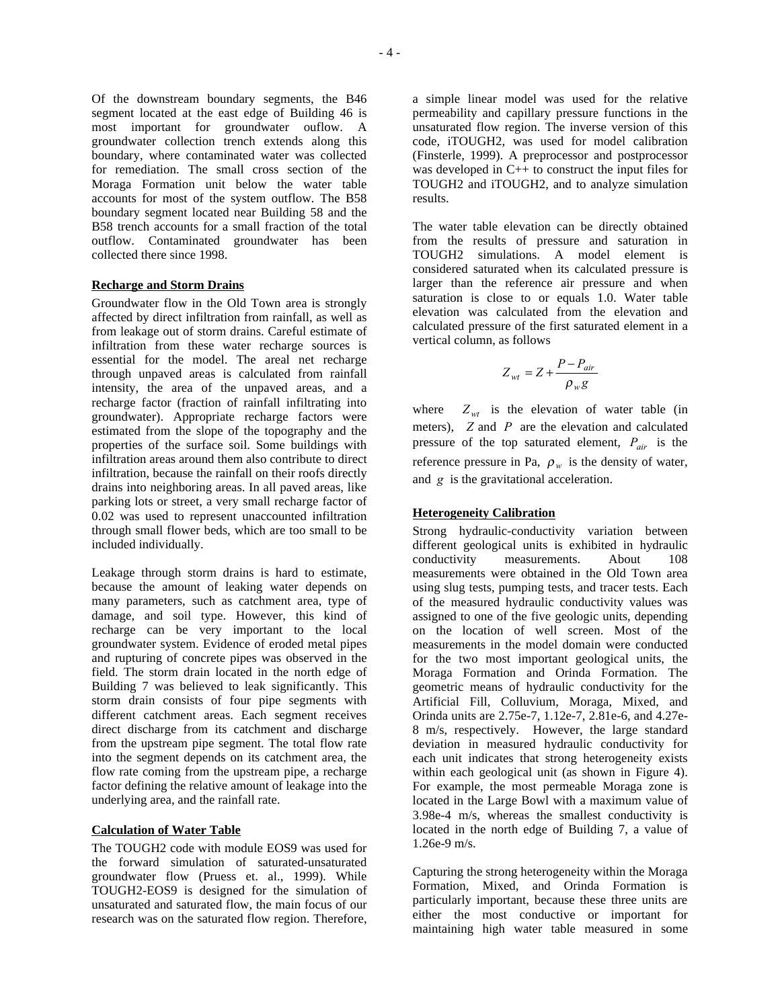Of the downstream boundary segments, the B46 segment located at the east edge of Building 46 is most important for groundwater ouflow. A groundwater collection trench extends along this boundary, where contaminated water was collected for remediation. The small cross section of the Moraga Formation unit below the water table accounts for most of the system outflow. The B58 boundary segment located near Building 58 and the B58 trench accounts for a small fraction of the total outflow. Contaminated groundwater has been collected there since 1998.

#### **Recharge and Storm Drains**

Groundwater flow in the Old Town area is strongly affected by direct infiltration from rainfall, as well as from leakage out of storm drains. Careful estimate of infiltration from these water recharge sources is essential for the model. The areal net recharge through unpaved areas is calculated from rainfall intensity, the area of the unpaved areas, and a recharge factor (fraction of rainfall infiltrating into groundwater). Appropriate recharge factors were estimated from the slope of the topography and the properties of the surface soil. Some buildings with infiltration areas around them also contribute to direct infiltration, because the rainfall on their roofs directly drains into neighboring areas. In all paved areas, like parking lots or street, a very small recharge factor of 0.02 was used to represent unaccounted infiltration through small flower beds, which are too small to be included individually.

Leakage through storm drains is hard to estimate, because the amount of leaking water depends on many parameters, such as catchment area, type of damage, and soil type. However, this kind of recharge can be very important to the local groundwater system. Evidence of eroded metal pipes and rupturing of concrete pipes was observed in the field. The storm drain located in the north edge of Building 7 was believed to leak significantly. This storm drain consists of four pipe segments with different catchment areas. Each segment receives direct discharge from its catchment and discharge from the upstream pipe segment. The total flow rate into the segment depends on its catchment area, the flow rate coming from the upstream pipe, a recharge factor defining the relative amount of leakage into the underlying area, and the rainfall rate.

### **Calculation of Water Table**

The TOUGH2 code with module EOS9 was used for the forward simulation of saturated-unsaturated groundwater flow (Pruess et. al., 1999). While TOUGH2-EOS9 is designed for the simulation of unsaturated and saturated flow, the main focus of our research was on the saturated flow region. Therefore, a simple linear model was used for the relative permeability and capillary pressure functions in the unsaturated flow region. The inverse version of this code, iTOUGH2, was used for model calibration (Finsterle, 1999). A preprocessor and postprocessor was developed in  $C_{++}$  to construct the input files for TOUGH2 and iTOUGH2, and to analyze simulation results.

The water table elevation can be directly obtained from the results of pressure and saturation in TOUGH2 simulations. A model element is considered saturated when its calculated pressure is larger than the reference air pressure and when saturation is close to or equals 1.0. Water table elevation was calculated from the elevation and calculated pressure of the first saturated element in a vertical column, as follows

$$
Z_{wt} = Z + \frac{P - P_{air}}{\rho_w g}
$$

where  $Z_{wt}$  is the elevation of water table (in meters), *Z* and *P* are the elevation and calculated pressure of the top saturated element, *Pair* is the reference pressure in Pa,  $\rho_w$  is the density of water, and *g* is the gravitational acceleration.

#### **Heterogeneity Calibration**

Strong hydraulic-conductivity variation between different geological units is exhibited in hydraulic<br>conductivity measurements. About 108 measurements. About 108 measurements were obtained in the Old Town area using slug tests, pumping tests, and tracer tests. Each of the measured hydraulic conductivity values was assigned to one of the five geologic units, depending on the location of well screen. Most of the measurements in the model domain were conducted for the two most important geological units, the Moraga Formation and Orinda Formation. The geometric means of hydraulic conductivity for the Artificial Fill, Colluvium, Moraga, Mixed, and Orinda units are 2.75e-7, 1.12e-7, 2.81e-6, and 4.27e-8 m/s, respectively. However, the large standard deviation in measured hydraulic conductivity for each unit indicates that strong heterogeneity exists within each geological unit (as shown in Figure 4). For example, the most permeable Moraga zone is located in the Large Bowl with a maximum value of 3.98e-4 m/s, whereas the smallest conductivity is located in the north edge of Building 7, a value of 1.26e-9 m/s.

Capturing the strong heterogeneity within the Moraga Formation, Mixed, and Orinda Formation is particularly important, because these three units are either the most conductive or important for maintaining high water table measured in some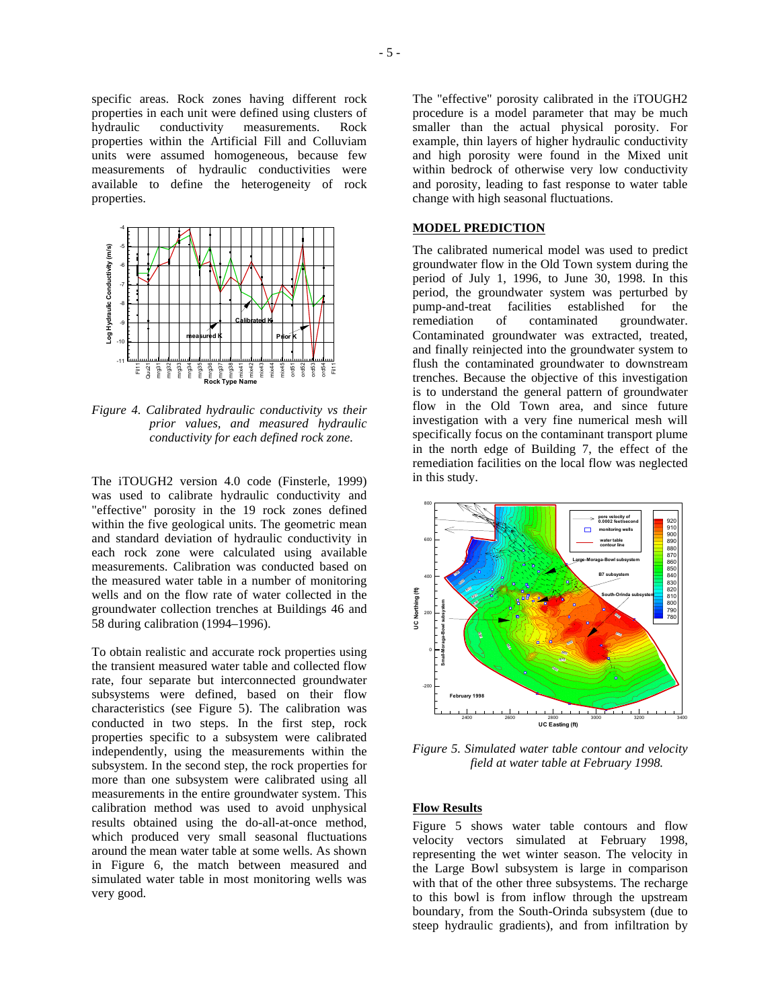specific areas. Rock zones having different rock properties in each unit were defined using clusters of hydraulic conductivity measurements. Rock properties within the Artificial Fill and Colluviam units were assumed homogeneous, because few measurements of hydraulic conductivities were available to define the heterogeneity of rock properties.



*Figure 4. Calibrated hydraulic conductivity vs their prior values, and measured hydraulic conductivity for each defined rock zone.* 

The iTOUGH2 version 4.0 code (Finsterle, 1999) was used to calibrate hydraulic conductivity and "effective" porosity in the 19 rock zones defined within the five geological units. The geometric mean and standard deviation of hydraulic conductivity in each rock zone were calculated using available measurements. Calibration was conducted based on the measured water table in a number of monitoring wells and on the flow rate of water collected in the groundwater collection trenches at Buildings 46 and 58 during calibration (1994–1996).

To obtain realistic and accurate rock properties using the transient measured water table and collected flow rate, four separate but interconnected groundwater subsystems were defined, based on their flow characteristics (see Figure 5). The calibration was conducted in two steps. In the first step, rock properties specific to a subsystem were calibrated independently, using the measurements within the subsystem. In the second step, the rock properties for more than one subsystem were calibrated using all measurements in the entire groundwater system. This calibration method was used to avoid unphysical results obtained using the do-all-at-once method, which produced very small seasonal fluctuations around the mean water table at some wells. As shown in Figure 6, the match between measured and simulated water table in most monitoring wells was very good.

The "effective" porosity calibrated in the iTOUGH2 procedure is a model parameter that may be much smaller than the actual physical porosity. For example, thin layers of higher hydraulic conductivity and high porosity were found in the Mixed unit within bedrock of otherwise very low conductivity and porosity, leading to fast response to water table change with high seasonal fluctuations.

## **MODEL PREDICTION**

The calibrated numerical model was used to predict groundwater flow in the Old Town system during the period of July 1, 1996, to June 30, 1998. In this period, the groundwater system was perturbed by pump-and-treat facilities established for the remediation of contaminated groundwater. Contaminated groundwater was extracted, treated, and finally reinjected into the groundwater system to flush the contaminated groundwater to downstream trenches. Because the objective of this investigation is to understand the general pattern of groundwater flow in the Old Town area, and since future investigation with a very fine numerical mesh will specifically focus on the contaminant transport plume in the north edge of Building 7, the effect of the remediation facilities on the local flow was neglected in this study.



*Figure 5. Simulated water table contour and velocity field at water table at February 1998.* 

#### **Flow Results**

Figure 5 shows water table contours and flow velocity vectors simulated at February 1998, representing the wet winter season. The velocity in the Large Bowl subsystem is large in comparison with that of the other three subsystems. The recharge to this bowl is from inflow through the upstream boundary, from the South-Orinda subsystem (due to steep hydraulic gradients), and from infiltration by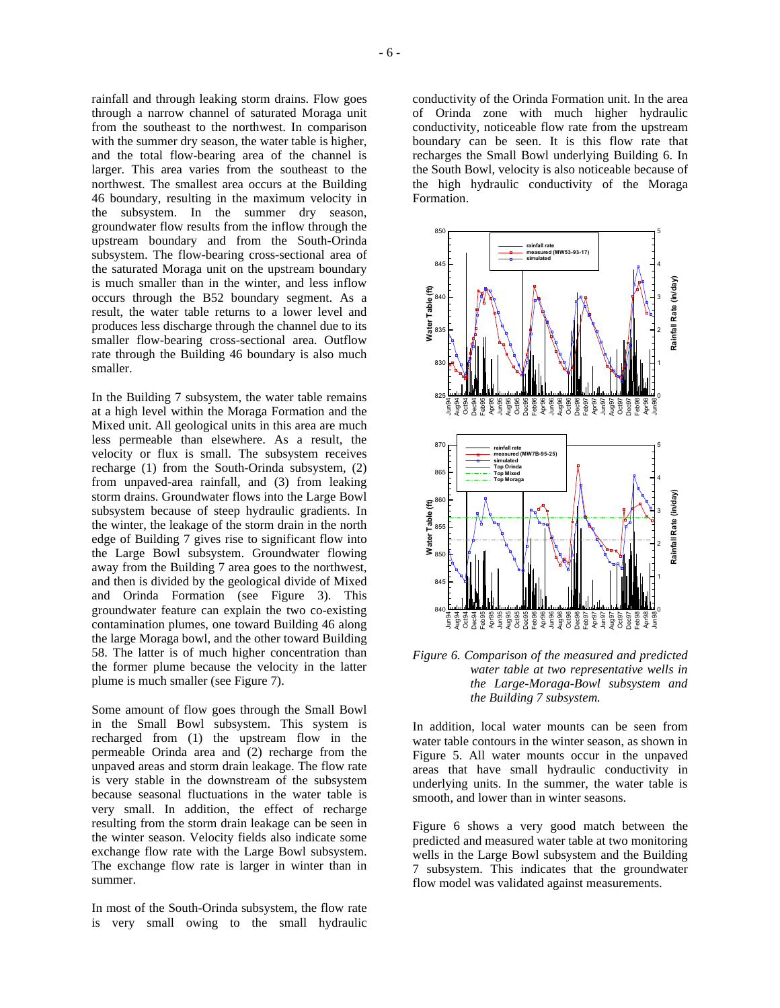rainfall and through leaking storm drains. Flow goes through a narrow channel of saturated Moraga unit from the southeast to the northwest. In comparison with the summer dry season, the water table is higher, and the total flow-bearing area of the channel is larger. This area varies from the southeast to the northwest. The smallest area occurs at the Building 46 boundary, resulting in the maximum velocity in the subsystem. In the summer dry season, groundwater flow results from the inflow through the upstream boundary and from the South-Orinda subsystem. The flow-bearing cross-sectional area of the saturated Moraga unit on the upstream boundary is much smaller than in the winter, and less inflow occurs through the B52 boundary segment. As a result, the water table returns to a lower level and produces less discharge through the channel due to its smaller flow-bearing cross-sectional area. Outflow rate through the Building 46 boundary is also much smaller.

In the Building 7 subsystem, the water table remains at a high level within the Moraga Formation and the Mixed unit. All geological units in this area are much less permeable than elsewhere. As a result, the velocity or flux is small. The subsystem receives recharge (1) from the South-Orinda subsystem, (2) from unpaved-area rainfall, and (3) from leaking storm drains. Groundwater flows into the Large Bowl subsystem because of steep hydraulic gradients. In the winter, the leakage of the storm drain in the north edge of Building 7 gives rise to significant flow into the Large Bowl subsystem. Groundwater flowing away from the Building 7 area goes to the northwest, and then is divided by the geological divide of Mixed and Orinda Formation (see Figure 3). This groundwater feature can explain the two co-existing contamination plumes, one toward Building 46 along the large Moraga bowl, and the other toward Building 58. The latter is of much higher concentration than the former plume because the velocity in the latter plume is much smaller (see Figure 7).

Some amount of flow goes through the Small Bowl in the Small Bowl subsystem. This system is recharged from (1) the upstream flow in the permeable Orinda area and (2) recharge from the unpaved areas and storm drain leakage. The flow rate is very stable in the downstream of the subsystem because seasonal fluctuations in the water table is very small. In addition, the effect of recharge resulting from the storm drain leakage can be seen in the winter season. Velocity fields also indicate some exchange flow rate with the Large Bowl subsystem. The exchange flow rate is larger in winter than in summer.

In most of the South-Orinda subsystem, the flow rate is very small owing to the small hydraulic conductivity of the Orinda Formation unit. In the area of Orinda zone with much higher hydraulic conductivity, noticeable flow rate from the upstream boundary can be seen. It is this flow rate that recharges the Small Bowl underlying Building 6. In the South Bowl, velocity is also noticeable because of the high hydraulic conductivity of the Moraga Formation.



*Figure 6. Comparison of the measured and predicted water table at two representative wells in the Large-Moraga-Bowl subsystem and the Building 7 subsystem.* 

In addition, local water mounts can be seen from water table contours in the winter season, as shown in Figure 5. All water mounts occur in the unpaved areas that have small hydraulic conductivity in underlying units. In the summer, the water table is smooth, and lower than in winter seasons.

Figure 6 shows a very good match between the predicted and measured water table at two monitoring wells in the Large Bowl subsystem and the Building 7 subsystem. This indicates that the groundwater flow model was validated against measurements.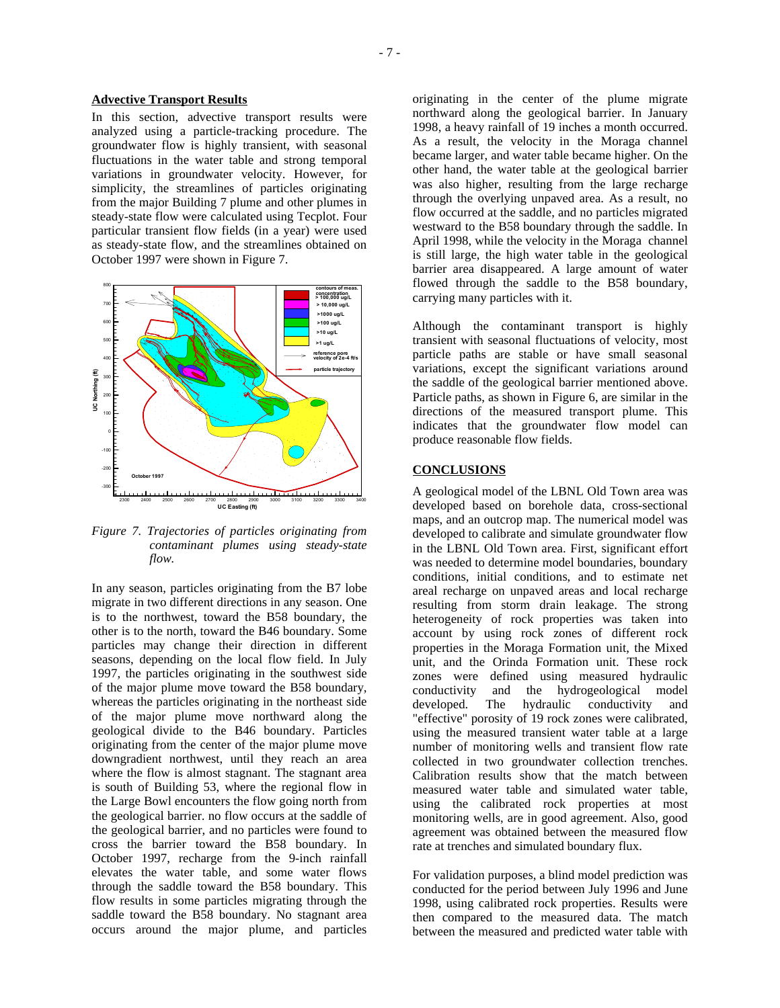### **Advective Transport Results**

In this section, advective transport results were analyzed using a particle-tracking procedure. The groundwater flow is highly transient, with seasonal fluctuations in the water table and strong temporal variations in groundwater velocity. However, for simplicity, the streamlines of particles originating from the major Building 7 plume and other plumes in steady-state flow were calculated using Tecplot. Four particular transient flow fields (in a year) were used as steady-state flow, and the streamlines obtained on October 1997 were shown in Figure 7.



*Figure 7. Trajectories of particles originating from contaminant plumes using steady-state flow.* 

In any season, particles originating from the B7 lobe migrate in two different directions in any season. One is to the northwest, toward the B58 boundary, the other is to the north, toward the B46 boundary. Some particles may change their direction in different seasons, depending on the local flow field. In July 1997, the particles originating in the southwest side of the major plume move toward the B58 boundary, whereas the particles originating in the northeast side of the major plume move northward along the geological divide to the B46 boundary. Particles originating from the center of the major plume move downgradient northwest, until they reach an area where the flow is almost stagnant. The stagnant area is south of Building 53, where the regional flow in the Large Bowl encounters the flow going north from the geological barrier. no flow occurs at the saddle of the geological barrier, and no particles were found to cross the barrier toward the B58 boundary. In October 1997, recharge from the 9-inch rainfall elevates the water table, and some water flows through the saddle toward the B58 boundary. This flow results in some particles migrating through the saddle toward the B58 boundary. No stagnant area occurs around the major plume, and particles

originating in the center of the plume migrate northward along the geological barrier. In January 1998, a heavy rainfall of 19 inches a month occurred. As a result, the velocity in the Moraga channel became larger, and water table became higher. On the other hand, the water table at the geological barrier was also higher, resulting from the large recharge through the overlying unpaved area. As a result, no flow occurred at the saddle, and no particles migrated westward to the B58 boundary through the saddle. In April 1998, while the velocity in the Moraga channel is still large, the high water table in the geological barrier area disappeared. A large amount of water flowed through the saddle to the B58 boundary, carrying many particles with it.

Although the contaminant transport is highly transient with seasonal fluctuations of velocity, most particle paths are stable or have small seasonal variations, except the significant variations around the saddle of the geological barrier mentioned above. Particle paths, as shown in Figure 6, are similar in the directions of the measured transport plume. This indicates that the groundwater flow model can produce reasonable flow fields.

## **CONCLUSIONS**

A geological model of the LBNL Old Town area was developed based on borehole data, cross-sectional maps, and an outcrop map. The numerical model was developed to calibrate and simulate groundwater flow in the LBNL Old Town area. First, significant effort was needed to determine model boundaries, boundary conditions, initial conditions, and to estimate net areal recharge on unpaved areas and local recharge resulting from storm drain leakage. The strong heterogeneity of rock properties was taken into account by using rock zones of different rock properties in the Moraga Formation unit, the Mixed unit, and the Orinda Formation unit. These rock zones were defined using measured hydraulic conductivity and the hydrogeological model developed. The hydraulic conductivity and "effective" porosity of 19 rock zones were calibrated, using the measured transient water table at a large number of monitoring wells and transient flow rate collected in two groundwater collection trenches. Calibration results show that the match between measured water table and simulated water table, using the calibrated rock properties at most monitoring wells, are in good agreement. Also, good agreement was obtained between the measured flow rate at trenches and simulated boundary flux.

For validation purposes, a blind model prediction was conducted for the period between July 1996 and June 1998, using calibrated rock properties. Results were then compared to the measured data. The match between the measured and predicted water table with